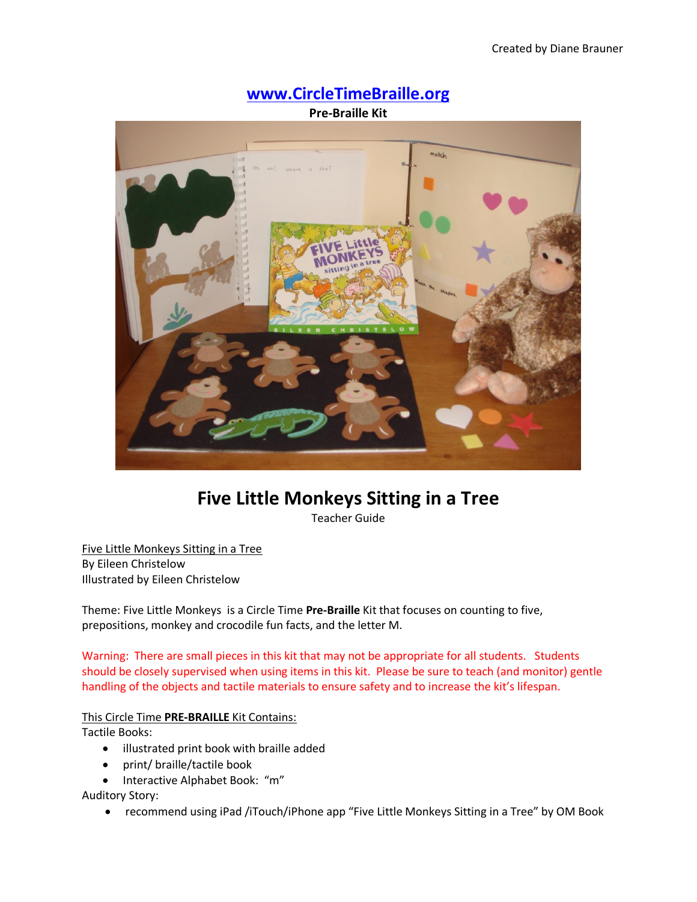

# **Five Little Monkeys Sitting in a Tree**

Teacher Guide

Five Little Monkeys Sitting in a Tree By Eileen Christelow Illustrated by Eileen Christelow

Theme: Five Little Monkeys is a Circle Time **Pre-Braille** Kit that focuses on counting to five, prepositions, monkey and crocodile fun facts, and the letter M.

Warning: There are small pieces in this kit that may not be appropriate for all students. Students should be closely supervised when using items in this kit. Please be sure to teach (and monitor) gentle handling of the objects and tactile materials to ensure safety and to increase the kit's lifespan.

# This Circle Time **PRE-BRAILLE** Kit Contains:

Tactile Books:

- illustrated print book with braille added
- print/ braille/tactile book
- Interactive Alphabet Book: "m"

Auditory Story:

recommend using iPad /iTouch/iPhone app "Five Little Monkeys Sitting in a Tree" by OM Book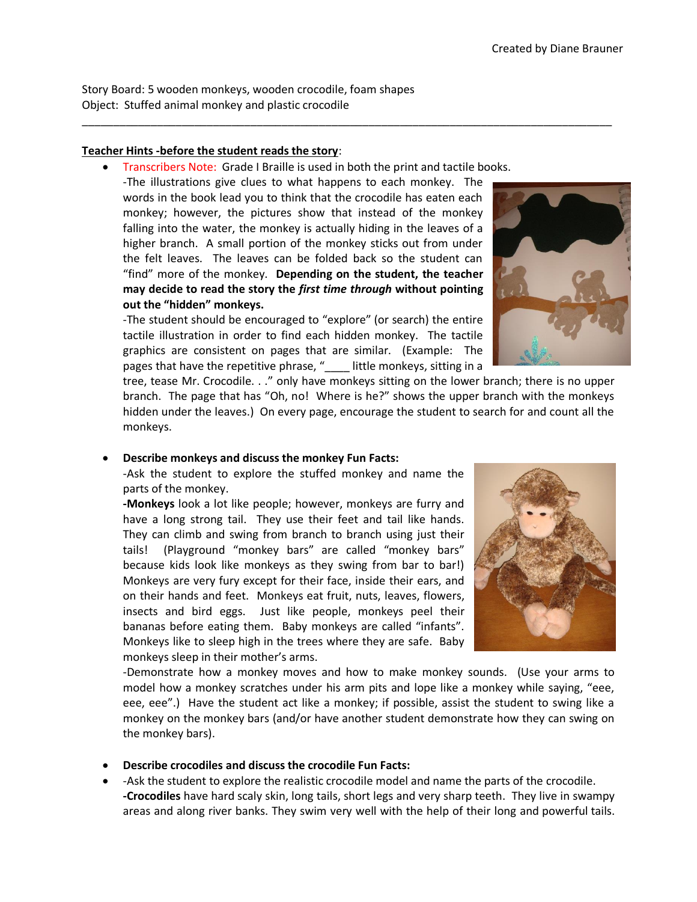Story Board: 5 wooden monkeys, wooden crocodile, foam shapes Object: Stuffed animal monkey and plastic crocodile

#### **Teacher Hints -before the student reads the story**:

Transcribers Note: Grade I Braille is used in both the print and tactile books.

\_\_\_\_\_\_\_\_\_\_\_\_\_\_\_\_\_\_\_\_\_\_\_\_\_\_\_\_\_\_\_\_\_\_\_\_\_\_\_\_\_\_\_\_\_\_\_\_\_\_\_\_\_\_\_\_\_\_\_\_\_\_\_\_\_\_\_\_\_\_\_\_\_\_\_\_\_\_\_\_\_\_\_\_\_

-The illustrations give clues to what happens to each monkey. The words in the book lead you to think that the crocodile has eaten each monkey; however, the pictures show that instead of the monkey falling into the water, the monkey is actually hiding in the leaves of a higher branch. A small portion of the monkey sticks out from under the felt leaves. The leaves can be folded back so the student can "find" more of the monkey. **Depending on the student, the teacher may decide to read the story the** *first time through* **without pointing out the "hidden" monkeys.**

-The student should be encouraged to "explore" (or search) the entire tactile illustration in order to find each hidden monkey. The tactile graphics are consistent on pages that are similar. (Example: The pages that have the repetitive phrase, "\_\_\_\_ little monkeys, sitting in a



tree, tease Mr. Crocodile. . ." only have monkeys sitting on the lower branch; there is no upper branch. The page that has "Oh, no! Where is he?" shows the upper branch with the monkeys hidden under the leaves.) On every page, encourage the student to search for and count all the monkeys.

## **Describe monkeys and discuss the monkey Fun Facts:**

-Ask the student to explore the stuffed monkey and name the parts of the monkey.

**-Monkeys** look a lot like people; however, monkeys are furry and have a long strong tail. They use their feet and tail like hands. They can climb and swing from branch to branch using just their tails! (Playground "monkey bars" are called "monkey bars" because kids look like monkeys as they swing from bar to bar!) Monkeys are very fury except for their face, inside their ears, and on their hands and feet. Monkeys eat fruit, nuts, leaves, flowers, insects and bird eggs. Just like people, monkeys peel their bananas before eating them. Baby monkeys are called "infants". Monkeys like to sleep high in the trees where they are safe. Baby monkeys sleep in their mother's arms.



-Demonstrate how a monkey moves and how to make monkey sounds. (Use your arms to model how a monkey scratches under his arm pits and lope like a monkey while saying, "eee, eee, eee".) Have the student act like a monkey; if possible, assist the student to swing like a monkey on the monkey bars (and/or have another student demonstrate how they can swing on the monkey bars).

- **Describe crocodiles and discuss the crocodile Fun Facts:**
- -Ask the student to explore the realistic crocodile model and name the parts of the crocodile. **-Crocodiles** have hard scaly skin, long tails, short legs and very sharp teeth. They live in swampy areas and along river banks. They swim very well with the help of their long and powerful tails.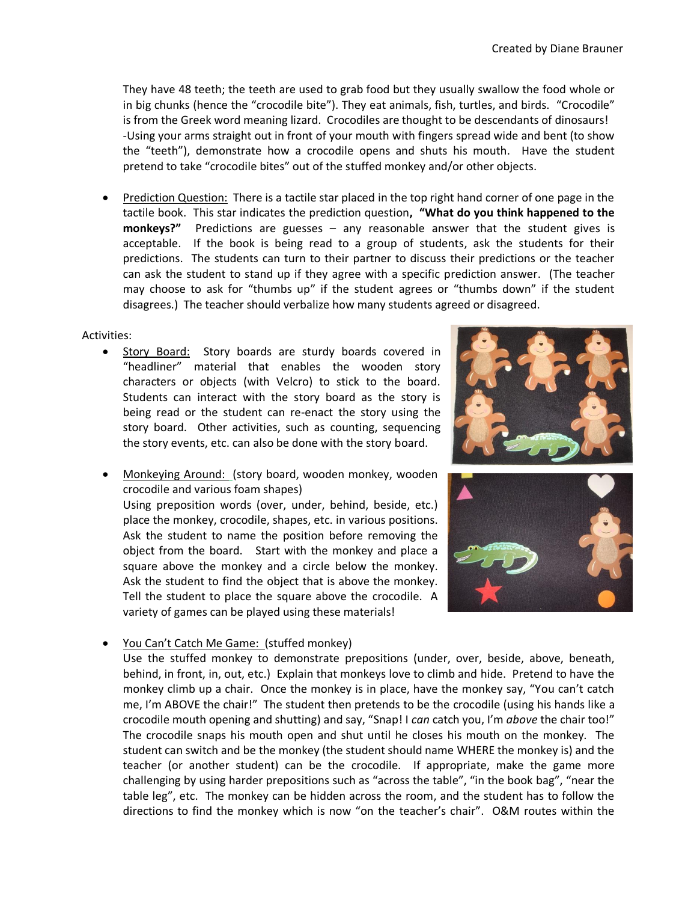They have 48 teeth; the teeth are used to grab food but they usually swallow the food whole or in big chunks (hence the "crocodile bite"). They eat animals, fish, turtles, and birds. "Crocodile" is from the Greek word meaning lizard. Crocodiles are thought to be descendants of dinosaurs! -Using your arms straight out in front of your mouth with fingers spread wide and bent (to show the "teeth"), demonstrate how a crocodile opens and shuts his mouth. Have the student pretend to take "crocodile bites" out of the stuffed monkey and/or other objects.

 Prediction Question: There is a tactile star placed in the top right hand corner of one page in the tactile book. This star indicates the prediction question**, "What do you think happened to the monkeys?"** Predictions are guesses – any reasonable answer that the student gives is acceptable. If the book is being read to a group of students, ask the students for their predictions. The students can turn to their partner to discuss their predictions or the teacher can ask the student to stand up if they agree with a specific prediction answer. (The teacher may choose to ask for "thumbs up" if the student agrees or "thumbs down" if the student disagrees.) The teacher should verbalize how many students agreed or disagreed.

## Activities:

Story Board: Story boards are sturdy boards covered in "headliner" material that enables the wooden story characters or objects (with Velcro) to stick to the board. Students can interact with the story board as the story is being read or the student can re-enact the story using the story board. Other activities, such as counting, sequencing the story events, etc. can also be done with the story board.



 Monkeying Around: (story board, wooden monkey, wooden crocodile and various foam shapes)

Using preposition words (over, under, behind, beside, etc.) place the monkey, crocodile, shapes, etc. in various positions. Ask the student to name the position before removing the object from the board. Start with the monkey and place a square above the monkey and a circle below the monkey. Ask the student to find the object that is above the monkey. Tell the student to place the square above the crocodile. A variety of games can be played using these materials!



You Can't Catch Me Game: (stuffed monkey)

Use the stuffed monkey to demonstrate prepositions (under, over, beside, above, beneath, behind, in front, in, out, etc.) Explain that monkeys love to climb and hide. Pretend to have the monkey climb up a chair. Once the monkey is in place, have the monkey say, "You can't catch me, I'm ABOVE the chair!" The student then pretends to be the crocodile (using his hands like a crocodile mouth opening and shutting) and say, "Snap! I *can* catch you, I'm *above* the chair too!" The crocodile snaps his mouth open and shut until he closes his mouth on the monkey. The student can switch and be the monkey (the student should name WHERE the monkey is) and the teacher (or another student) can be the crocodile. If appropriate, make the game more challenging by using harder prepositions such as "across the table", "in the book bag", "near the table leg", etc. The monkey can be hidden across the room, and the student has to follow the directions to find the monkey which is now "on the teacher's chair". O&M routes within the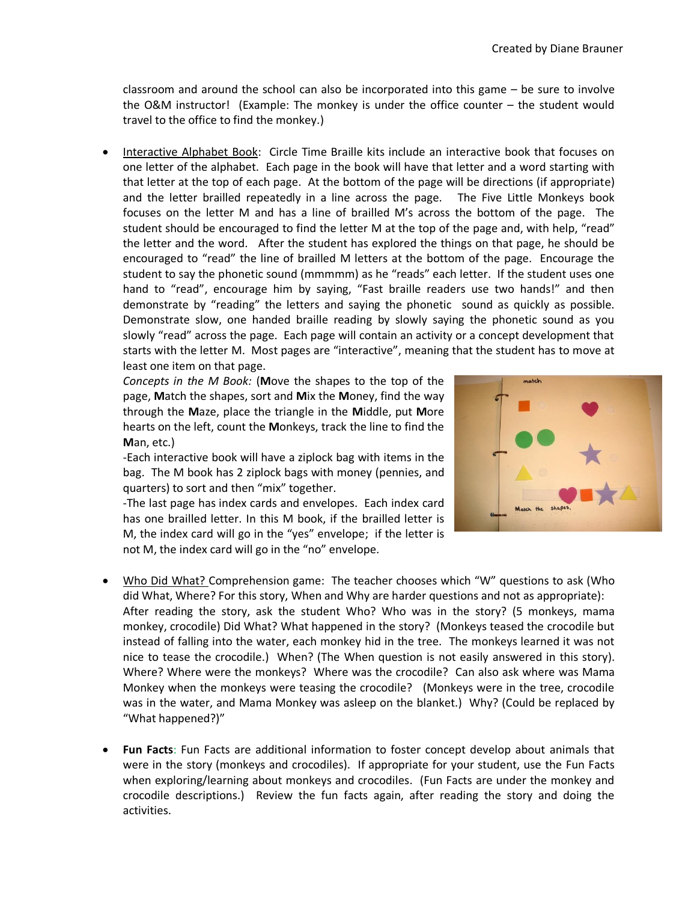classroom and around the school can also be incorporated into this game – be sure to involve the O&M instructor! (Example: The monkey is under the office counter – the student would travel to the office to find the monkey.)

 Interactive Alphabet Book: Circle Time Braille kits include an interactive book that focuses on one letter of the alphabet. Each page in the book will have that letter and a word starting with that letter at the top of each page. At the bottom of the page will be directions (if appropriate) and the letter brailled repeatedly in a line across the page. The Five Little Monkeys book focuses on the letter M and has a line of brailled M's across the bottom of the page. The student should be encouraged to find the letter M at the top of the page and, with help, "read" the letter and the word. After the student has explored the things on that page, he should be encouraged to "read" the line of brailled M letters at the bottom of the page. Encourage the student to say the phonetic sound (mmmmm) as he "reads" each letter. If the student uses one hand to "read", encourage him by saying, "Fast braille readers use two hands!" and then demonstrate by "reading" the letters and saying the phonetic sound as quickly as possible. Demonstrate slow, one handed braille reading by slowly saying the phonetic sound as you slowly "read" across the page. Each page will contain an activity or a concept development that starts with the letter M. Most pages are "interactive", meaning that the student has to move at least one item on that page.

*Concepts in the M Book:* (**M**ove the shapes to the top of the page, **M**atch the shapes, sort and **M**ix the **M**oney, find the way through the **M**aze, place the triangle in the **M**iddle, put **M**ore hearts on the left, count the **M**onkeys, track the line to find the **M**an, etc.)

-Each interactive book will have a ziplock bag with items in the bag. The M book has 2 ziplock bags with money (pennies, and quarters) to sort and then "mix" together.

-The last page has index cards and envelopes. Each index card has one brailled letter. In this M book, if the brailled letter is M, the index card will go in the "yes" envelope; if the letter is not M, the index card will go in the "no" envelope.

- Who Did What? Comprehension game: The teacher chooses which "W" questions to ask (Who did What, Where? For this story, When and Why are harder questions and not as appropriate): After reading the story, ask the student Who? Who was in the story? (5 monkeys, mama monkey, crocodile) Did What? What happened in the story? (Monkeys teased the crocodile but instead of falling into the water, each monkey hid in the tree. The monkeys learned it was not nice to tease the crocodile.) When? (The When question is not easily answered in this story). Where? Where were the monkeys? Where was the crocodile? Can also ask where was Mama Monkey when the monkeys were teasing the crocodile? (Monkeys were in the tree, crocodile was in the water, and Mama Monkey was asleep on the blanket.) Why? (Could be replaced by "What happened?)"
- **Fun Facts**: Fun Facts are additional information to foster concept develop about animals that were in the story (monkeys and crocodiles). If appropriate for your student, use the Fun Facts when exploring/learning about monkeys and crocodiles. (Fun Facts are under the monkey and crocodile descriptions.) Review the fun facts again, after reading the story and doing the activities.